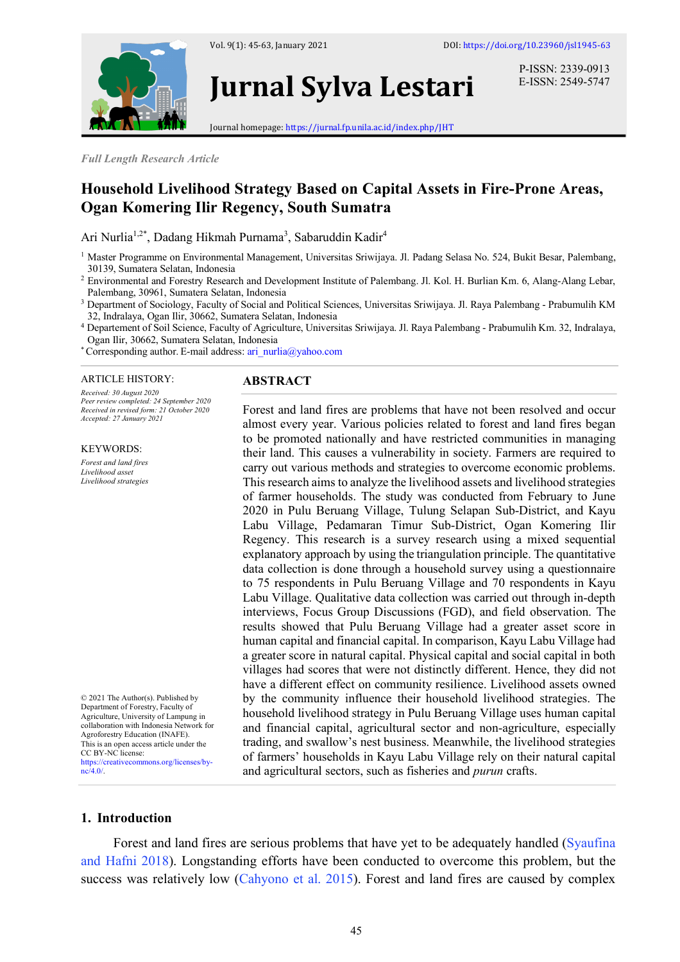

**Jurnal Sylva Lestari**

Journal homepage: https://jurnal.fp.unila.ac.id/index.php/JHT

*Full Length Research Article*

# **Household Livelihood Strategy Based on Capital Assets in Fire-Prone Areas, Ogan Komering Ilir Regency, South Sumatra**

Ari Nurlia<sup>1,2\*</sup>, Dadang Hikmah Purnama<sup>3</sup>, Sabaruddin Kadir<sup>4</sup>

- <sup>1</sup> Master Programme on Environmental Management, Universitas Sriwijaya. Jl. Padang Selasa No. 524, Bukit Besar, Palembang, 30139, Sumatera Selatan, Indonesia
- <sup>2</sup> Environmental and Forestry Research and Development Institute of Palembang. Jl. Kol. H. Burlian Km. 6, Alang-Alang Lebar, Palembang, 30961, Sumatera Selatan, Indonesia
- <sup>3</sup> Department of Sociology, Faculty of Social and Political Sciences, Universitas Sriwijaya. Jl. Raya Palembang Prabumulih KM 32, Indralaya, Ogan Ilir, 30662, Sumatera Selatan, Indonesia 4 Departement of Soil Science, Faculty of Agriculture, Universitas Sriwijaya. Jl. Raya Palembang - Prabumulih Km. 32, Indralaya,
- Ogan Ilir, 30662, Sumatera Selatan, Indonesia
- \*Corresponding author. E-mail address: ari\_nurlia@yahoo.com

#### ARTICLE HISTORY:

*Received: 30 August 2020 Peer review completed: 24 September 2020 Received in revised form: 21 October 2020 Accepted: 27 January 2021*

KEYWORDS: *Forest and land fires Livelihood asset Livelihood strategies*

© 2021 The Author(s). Published by Department of Forestry, Faculty of Agriculture, University of Lampung in collaboration with Indonesia Network for Agroforestry Education (INAFE). This is an open access article under the CC BY-NC license: https://creativecommons.org/licenses/bync/4.0/.

#### **ABSTRACT**

Forest and land fires are problems that have not been resolved and occur almost every year. Various policies related to forest and land fires began to be promoted nationally and have restricted communities in managing their land. This causes a vulnerability in society. Farmers are required to carry out various methods and strategies to overcome economic problems. This research aims to analyze the livelihood assets and livelihood strategies of farmer households. The study was conducted from February to June 2020 in Pulu Beruang Village, Tulung Selapan Sub-District, and Kayu Labu Village, Pedamaran Timur Sub-District, Ogan Komering Ilir Regency. This research is a survey research using a mixed sequential explanatory approach by using the triangulation principle. The quantitative data collection is done through a household survey using a questionnaire to 75 respondents in Pulu Beruang Village and 70 respondents in Kayu Labu Village. Qualitative data collection was carried out through in-depth interviews, Focus Group Discussions (FGD), and field observation. The results showed that Pulu Beruang Village had a greater asset score in human capital and financial capital. In comparison, Kayu Labu Village had a greater score in natural capital. Physical capital and social capital in both villages had scores that were not distinctly different. Hence, they did not have a different effect on community resilience. Livelihood assets owned by the community influence their household livelihood strategies. The household livelihood strategy in Pulu Beruang Village uses human capital and financial capital, agricultural sector and non-agriculture, especially trading, and swallow's nest business. Meanwhile, the livelihood strategies of farmers' households in Kayu Labu Village rely on their natural capital and agricultural sectors, such as fisheries and *purun* crafts.

### **1. Introduction**

Forest and land fires are serious problems that have yet to be adequately handled (Syaufina and Hafni 2018). Longstanding efforts have been conducted to overcome this problem, but the success was relatively low (Cahyono et al. 2015). Forest and land fires are caused by complex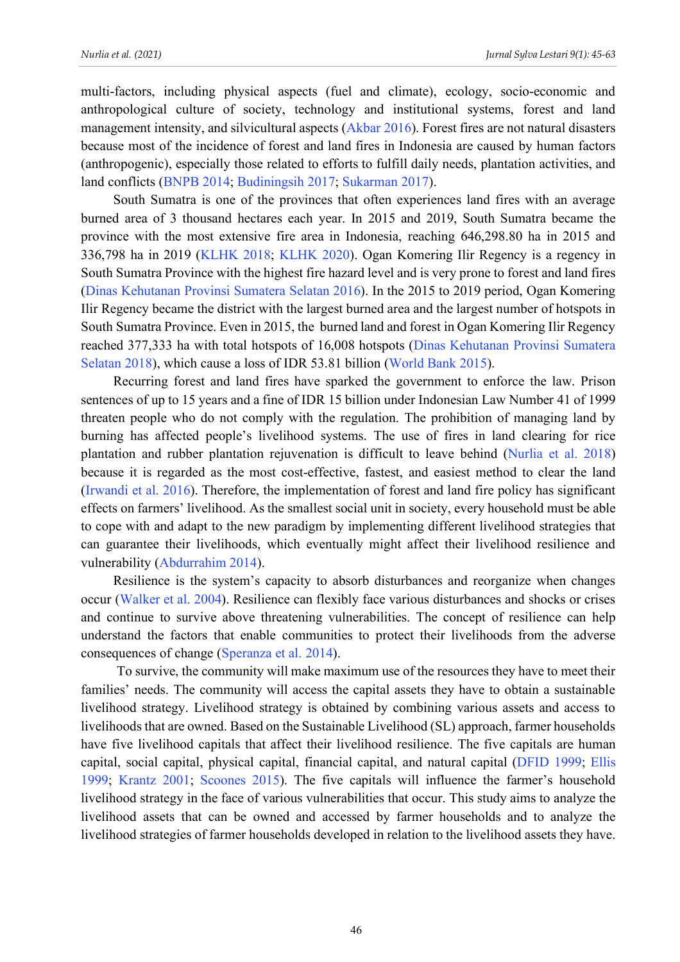multi-factors, including physical aspects (fuel and climate), ecology, socio-economic and anthropological culture of society, technology and institutional systems, forest and land management intensity, and silvicultural aspects (Akbar 2016). Forest fires are not natural disasters because most of the incidence of forest and land fires in Indonesia are caused by human factors (anthropogenic), especially those related to efforts to fulfill daily needs, plantation activities, and land conflicts (BNPB 2014; Budiningsih 2017; Sukarman 2017).

South Sumatra is one of the provinces that often experiences land fires with an average burned area of 3 thousand hectares each year. In 2015 and 2019, South Sumatra became the province with the most extensive fire area in Indonesia, reaching 646,298.80 ha in 2015 and 336,798 ha in 2019 (KLHK 2018; KLHK 2020). Ogan Komering Ilir Regency is a regency in South Sumatra Province with the highest fire hazard level and is very prone to forest and land fires (Dinas Kehutanan Provinsi Sumatera Selatan 2016). In the 2015 to 2019 period, Ogan Komering Ilir Regency became the district with the largest burned area and the largest number of hotspots in South Sumatra Province. Even in 2015, the burned land and forest in Ogan Komering Ilir Regency reached 377,333 ha with total hotspots of 16,008 hotspots (Dinas Kehutanan Provinsi Sumatera Selatan 2018), which cause a loss of IDR 53.81 billion (World Bank 2015).

Recurring forest and land fires have sparked the government to enforce the law. Prison sentences of up to 15 years and a fine of IDR 15 billion under Indonesian Law Number 41 of 1999 threaten people who do not comply with the regulation. The prohibition of managing land by burning has affected people's livelihood systems. The use of fires in land clearing for rice plantation and rubber plantation rejuvenation is difficult to leave behind (Nurlia et al. 2018) because it is regarded as the most cost-effective, fastest, and easiest method to clear the land (Irwandi et al. 2016). Therefore, the implementation of forest and land fire policy has significant effects on farmers' livelihood. As the smallest social unit in society, every household must be able to cope with and adapt to the new paradigm by implementing different livelihood strategies that can guarantee their livelihoods, which eventually might affect their livelihood resilience and vulnerability (Abdurrahim 2014).

Resilience is the system's capacity to absorb disturbances and reorganize when changes occur (Walker et al. 2004). Resilience can flexibly face various disturbances and shocks or crises and continue to survive above threatening vulnerabilities. The concept of resilience can help understand the factors that enable communities to protect their livelihoods from the adverse consequences of change (Speranza et al. 2014).

To survive, the community will make maximum use of the resources they have to meet their families' needs. The community will access the capital assets they have to obtain a sustainable livelihood strategy. Livelihood strategy is obtained by combining various assets and access to livelihoods that are owned. Based on the Sustainable Livelihood (SL) approach, farmer households have five livelihood capitals that affect their livelihood resilience. The five capitals are human capital, social capital, physical capital, financial capital, and natural capital (DFID 1999; Ellis 1999; Krantz 2001; Scoones 2015). The five capitals will influence the farmer's household livelihood strategy in the face of various vulnerabilities that occur. This study aims to analyze the livelihood assets that can be owned and accessed by farmer households and to analyze the livelihood strategies of farmer households developed in relation to the livelihood assets they have.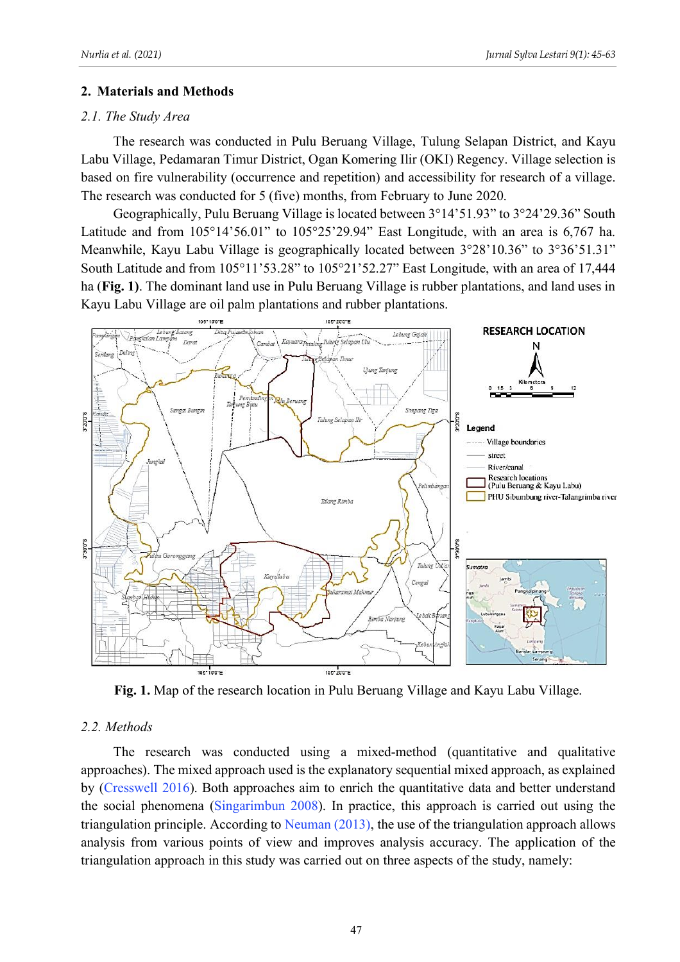#### **2. Materials and Methods**

### *2.1. The Study Area*

The research was conducted in Pulu Beruang Village, Tulung Selapan District, and Kayu Labu Village, Pedamaran Timur District, Ogan Komering Ilir (OKI) Regency. Village selection is based on fire vulnerability (occurrence and repetition) and accessibility for research of a village. The research was conducted for 5 (five) months, from February to June 2020.

Geographically, Pulu Beruang Village is located between 3°14'51.93" to 3°24'29.36" South Latitude and from  $105^{\circ}14'56.01"$  to  $105^{\circ}25'29.94"$  East Longitude, with an area is 6,767 ha. Meanwhile, Kayu Labu Village is geographically located between 3°28'10.36" to 3°36'51.31" South Latitude and from 105°11'53.28" to 105°21'52.27" East Longitude, with an area of 17,444 ha (**Fig. 1)**. The dominant land use in Pulu Beruang Village is rubber plantations, and land uses in Kayu Labu Village are oil palm plantations and rubber plantations.



**Fig. 1.** Map of the research location in Pulu Beruang Village and Kayu Labu Village.

#### *2.2. Methods*

The research was conducted using a mixed-method (quantitative and qualitative approaches). The mixed approach used is the explanatory sequential mixed approach, as explained by (Cresswell 2016). Both approaches aim to enrich the quantitative data and better understand the social phenomena (Singarimbun 2008). In practice, this approach is carried out using the triangulation principle. According to Neuman (2013), the use of the triangulation approach allows analysis from various points of view and improves analysis accuracy. The application of the triangulation approach in this study was carried out on three aspects of the study, namely: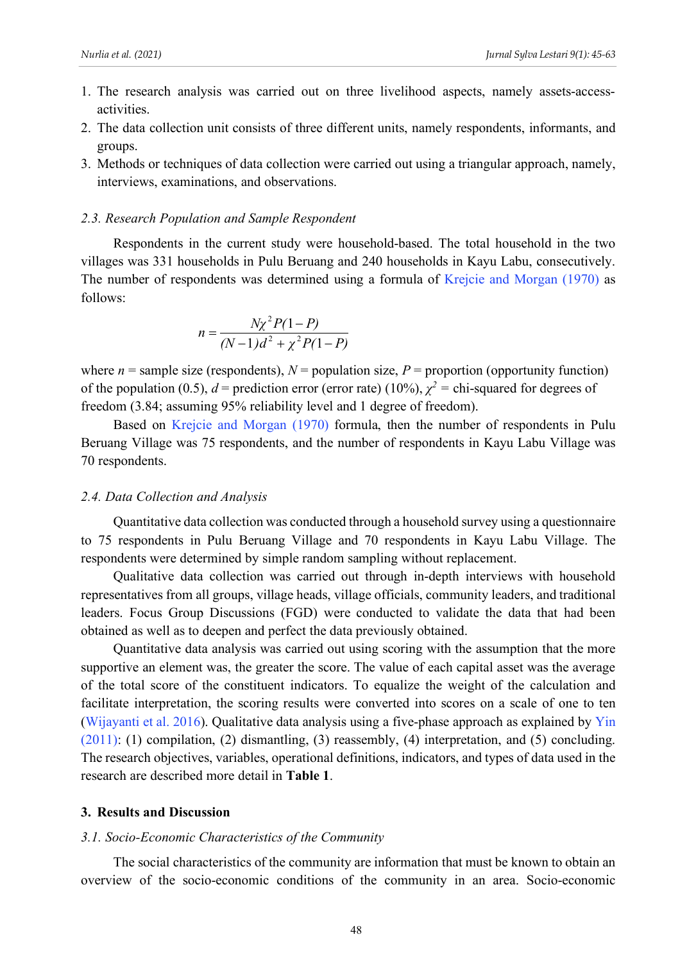- 1. The research analysis was carried out on three livelihood aspects, namely assets-accessactivities.
- 2. The data collection unit consists of three different units, namely respondents, informants, and groups.
- 3. Methods or techniques of data collection were carried out using a triangular approach, namely, interviews, examinations, and observations.

#### *2.3. Research Population and Sample Respondent*

Respondents in the current study were household-based. The total household in the two villages was 331 households in Pulu Beruang and 240 households in Kayu Labu, consecutively. The number of respondents was determined using a formula of Krejcie and Morgan (1970) as follows:

$$
n = \frac{N\chi^2 P(1-P)}{(N-1)d^2 + \chi^2 P(1-P)}
$$

where  $n =$  sample size (respondents),  $N =$  population size,  $P =$  proportion (opportunity function) of the population (0.5),  $d =$  prediction error (error rate) (10%),  $\chi^2 =$  chi-squared for degrees of freedom (3.84; assuming 95% reliability level and 1 degree of freedom).

Based on Krejcie and Morgan (1970) formula, then the number of respondents in Pulu Beruang Village was 75 respondents, and the number of respondents in Kayu Labu Village was 70 respondents.

#### *2.4. Data Collection and Analysis*

Quantitative data collection was conducted through a household survey using a questionnaire to 75 respondents in Pulu Beruang Village and 70 respondents in Kayu Labu Village. The respondents were determined by simple random sampling without replacement.

Qualitative data collection was carried out through in-depth interviews with household representatives from all groups, village heads, village officials, community leaders, and traditional leaders. Focus Group Discussions (FGD) were conducted to validate the data that had been obtained as well as to deepen and perfect the data previously obtained.

Quantitative data analysis was carried out using scoring with the assumption that the more supportive an element was, the greater the score. The value of each capital asset was the average of the total score of the constituent indicators. To equalize the weight of the calculation and facilitate interpretation, the scoring results were converted into scores on a scale of one to ten (Wijayanti et al. 2016). Qualitative data analysis using a five-phase approach as explained by Yin (2011): (1) compilation, (2) dismantling, (3) reassembly, (4) interpretation, and (5) concluding. The research objectives, variables, operational definitions, indicators, and types of data used in the research are described more detail in **Table 1**.

### **3. Results and Discussion**

#### *3.1. Socio-Economic Characteristics of the Community*

The social characteristics of the community are information that must be known to obtain an overview of the socio-economic conditions of the community in an area. Socio-economic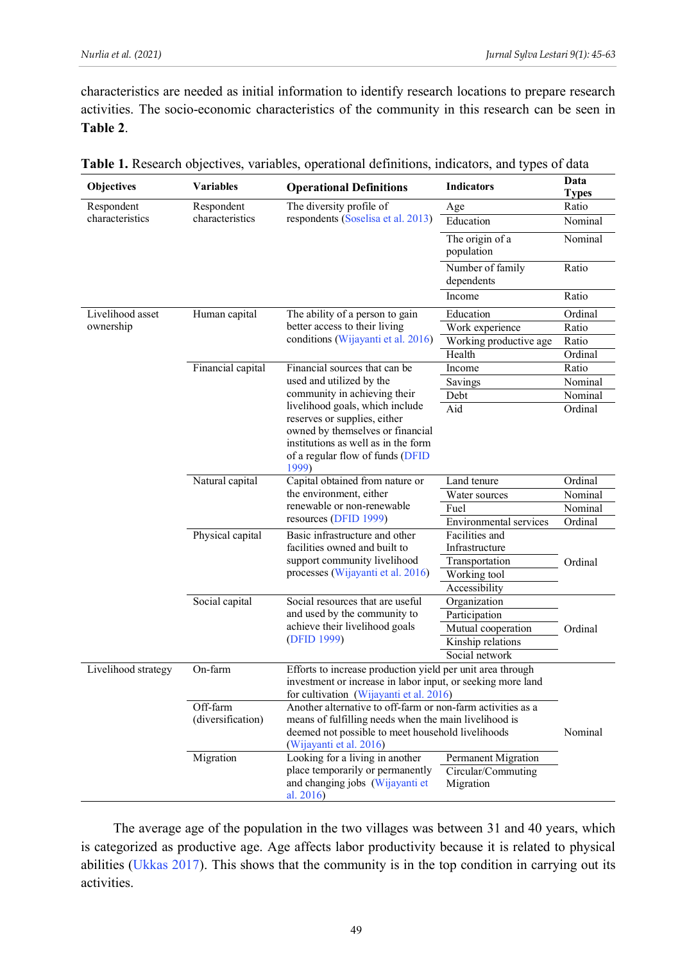characteristics are needed as initial information to identify research locations to prepare research activities. The socio-economic characteristics of the community in this research can be seen in **Table 2**.

| <b>Objectives</b>   | <b>Variables</b>  | <b>Operational Definitions</b>                                                                                                                                            | <b>Indicators</b>              | Data<br><b>Types</b> |  |
|---------------------|-------------------|---------------------------------------------------------------------------------------------------------------------------------------------------------------------------|--------------------------------|----------------------|--|
| Respondent          | Respondent        | The diversity profile of                                                                                                                                                  | Age                            | Ratio                |  |
| characteristics     | characteristics   | respondents (Soselisa et al. 2013)                                                                                                                                        | Education                      | Nominal              |  |
|                     |                   |                                                                                                                                                                           | The origin of a<br>population  | Nominal              |  |
|                     |                   |                                                                                                                                                                           | Number of family<br>dependents | Ratio                |  |
|                     |                   |                                                                                                                                                                           | Income                         | Ratio                |  |
| Livelihood asset    | Human capital     | The ability of a person to gain                                                                                                                                           | Education                      | Ordinal              |  |
| ownership           |                   | better access to their living                                                                                                                                             | Work experience                | Ratio                |  |
|                     |                   | conditions (Wijayanti et al. 2016)                                                                                                                                        | Working productive age         | Ratio                |  |
|                     |                   |                                                                                                                                                                           | Health                         | Ordinal              |  |
|                     | Financial capital | Financial sources that can be                                                                                                                                             | Income                         | Ratio                |  |
|                     |                   | used and utilized by the                                                                                                                                                  | Savings                        | Nominal              |  |
|                     |                   | community in achieving their                                                                                                                                              | Debt                           | Nominal              |  |
|                     |                   | livelihood goals, which include                                                                                                                                           | Aid                            | Ordinal              |  |
|                     |                   | reserves or supplies, either                                                                                                                                              |                                |                      |  |
|                     |                   | owned by themselves or financial                                                                                                                                          |                                |                      |  |
|                     |                   | institutions as well as in the form<br>of a regular flow of funds (DFID                                                                                                   |                                |                      |  |
|                     |                   | 1999)                                                                                                                                                                     |                                |                      |  |
|                     | Natural capital   | Capital obtained from nature or                                                                                                                                           | Land tenure                    | Ordinal              |  |
|                     |                   | the environment, either                                                                                                                                                   | Water sources                  | Nominal              |  |
|                     |                   | renewable or non-renewable                                                                                                                                                | Fuel                           | Nominal              |  |
|                     |                   | resources (DFID 1999)                                                                                                                                                     | <b>Environmental services</b>  | Ordinal              |  |
|                     | Physical capital  | Basic infrastructure and other                                                                                                                                            | Facilities and                 |                      |  |
|                     |                   | facilities owned and built to                                                                                                                                             | Infrastructure                 |                      |  |
|                     |                   | support community livelihood                                                                                                                                              | Transportation                 | Ordinal              |  |
|                     |                   | processes (Wijayanti et al. 2016)                                                                                                                                         | Working tool                   |                      |  |
|                     |                   |                                                                                                                                                                           | Accessibility                  |                      |  |
|                     | Social capital    | Social resources that are useful                                                                                                                                          | Organization                   |                      |  |
|                     |                   | and used by the community to                                                                                                                                              | Participation                  |                      |  |
|                     |                   | achieve their livelihood goals                                                                                                                                            | Mutual cooperation             | Ordinal              |  |
|                     |                   | (DFID 1999)                                                                                                                                                               | Kinship relations              |                      |  |
|                     |                   |                                                                                                                                                                           | Social network                 |                      |  |
| Livelihood strategy | On-farm           | Efforts to increase production yield per unit area through                                                                                                                |                                |                      |  |
|                     |                   | investment or increase in labor input, or seeking more land                                                                                                               |                                |                      |  |
|                     |                   | for cultivation (Wijayanti et al. 2016)                                                                                                                                   |                                |                      |  |
|                     | Off-farm          | Another alternative to off-farm or non-farm activities as a<br>means of fulfilling needs when the main livelihood is<br>deemed not possible to meet household livelihoods |                                |                      |  |
|                     | (diversification) |                                                                                                                                                                           |                                |                      |  |
|                     |                   | (Wijayanti et al. 2016)                                                                                                                                                   | Nominal                        |                      |  |
|                     | Migration         | Looking for a living in another                                                                                                                                           | Permanent Migration            |                      |  |
|                     |                   | place temporarily or permanently                                                                                                                                          | Circular/Commuting             |                      |  |
|                     |                   | and changing jobs (Wijayanti et<br>al. $2016$                                                                                                                             | Migration                      |                      |  |

|  |  |  | Table 1. Research objectives, variables, operational definitions, indicators, and types of data |
|--|--|--|-------------------------------------------------------------------------------------------------|
|  |  |  |                                                                                                 |

The average age of the population in the two villages was between 31 and 40 years, which is categorized as productive age. Age affects labor productivity because it is related to physical abilities (Ukkas 2017). This shows that the community is in the top condition in carrying out its activities.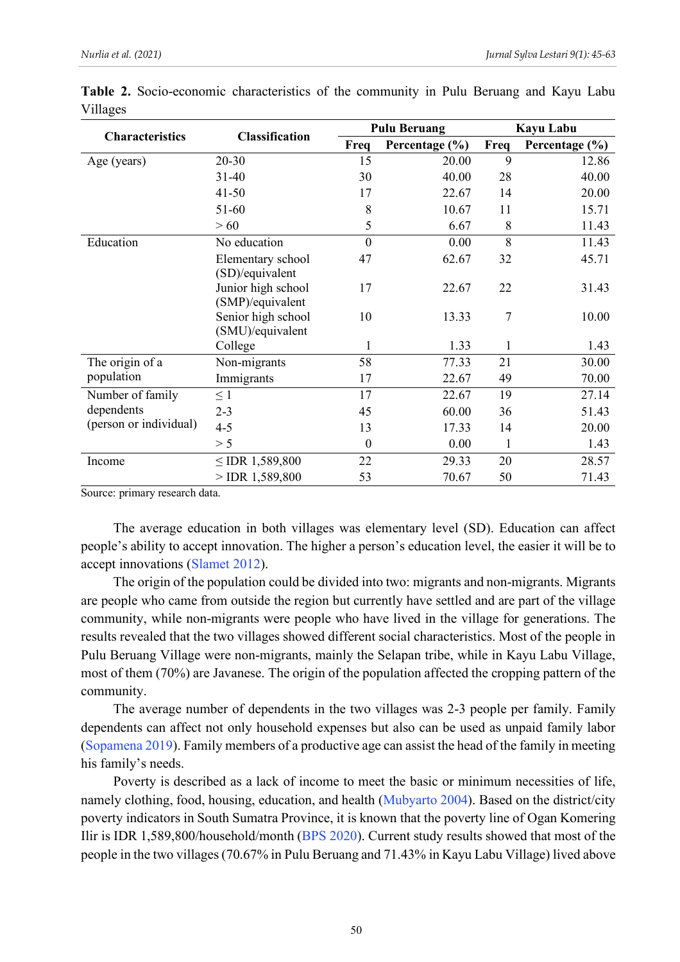| <b>Characteristics</b> | <b>Classification</b>                  | <b>Pulu Beruang</b> |                | <b>Kayu Labu</b> |                |
|------------------------|----------------------------------------|---------------------|----------------|------------------|----------------|
|                        |                                        | Freq                | Percentage (%) | Freq             | Percentage (%) |
| Age (years)            | $20 - 30$                              | 15                  | 20.00          | 9                | 12.86          |
|                        | $31 - 40$                              | 30                  | 40.00          | 28               | 40.00          |
|                        | $41 - 50$                              | 17                  | 22.67          | 14               | 20.00          |
|                        | 51-60                                  | 8                   | 10.67          | 11               | 15.71          |
|                        | >60                                    | 5                   | 6.67           | 8                | 11.43          |
| Education              | No education                           | $\overline{0}$      | 0.00           | 8                | 11.43          |
|                        | Elementary school<br>(SD)/equivalent   | 47                  | 62.67          | 32               | 45.71          |
|                        | Junior high school<br>(SMP)/equivalent | 17                  | 22.67          | 22               | 31.43          |
|                        | Senior high school<br>(SMU)/equivalent | 10                  | 13.33          | 7                | 10.00          |
|                        | College                                | 1                   | 1.33           | 1                | 1.43           |
| The origin of a        | Non-migrants                           | 58                  | 77.33          | 21               | 30.00          |
| population             | Immigrants                             | 17                  | 22.67          | 49               | 70.00          |
| Number of family       | $\leq$ 1                               | 17                  | 22.67          | 19               | 27.14          |
| dependents             | $2 - 3$                                | 45                  | 60.00          | 36               | 51.43          |
| (person or individual) | $4 - 5$                                | 13                  | 17.33          | 14               | 20.00          |
|                        | > 5                                    | $\boldsymbol{0}$    | 0.00           | 1                | 1.43           |
| Income                 | $\leq$ IDR 1,589,800                   | 22                  | 29.33          | 20               | 28.57          |
|                        | $>$ IDR 1,589,800                      | 53                  | 70.67          | 50               | 71.43          |

**Table 2.** Socio-economic characteristics of the community in Pulu Beruang and Kayu Labu Villages

Source: primary research data.

The average education in both villages was elementary level (SD). Education can affect people's ability to accept innovation. The higher a person's education level, the easier it will be to accept innovations (Slamet 2012).

The origin of the population could be divided into two: migrants and non-migrants. Migrants are people who came from outside the region but currently have settled and are part of the village community, while non-migrants were people who have lived in the village for generations. The results revealed that the two villages showed different social characteristics. Most of the people in Pulu Beruang Village were non-migrants, mainly the Selapan tribe, while in Kayu Labu Village, most of them (70%) are Javanese. The origin of the population affected the cropping pattern of the community.

The average number of dependents in the two villages was 2-3 people per family. Family dependents can affect not only household expenses but also can be used as unpaid family labor (Sopamena 2019). Family members of a productive age can assist the head of the family in meeting his family's needs.

Poverty is described as a lack of income to meet the basic or minimum necessities of life, namely clothing, food, housing, education, and health (Mubyarto 2004). Based on the district/city poverty indicators in South Sumatra Province, it is known that the poverty line of Ogan Komering Ilir is IDR 1,589,800/household/month (BPS 2020). Current study results showed that most of the people in the two villages (70.67% in Pulu Beruang and 71.43% in Kayu Labu Village) lived above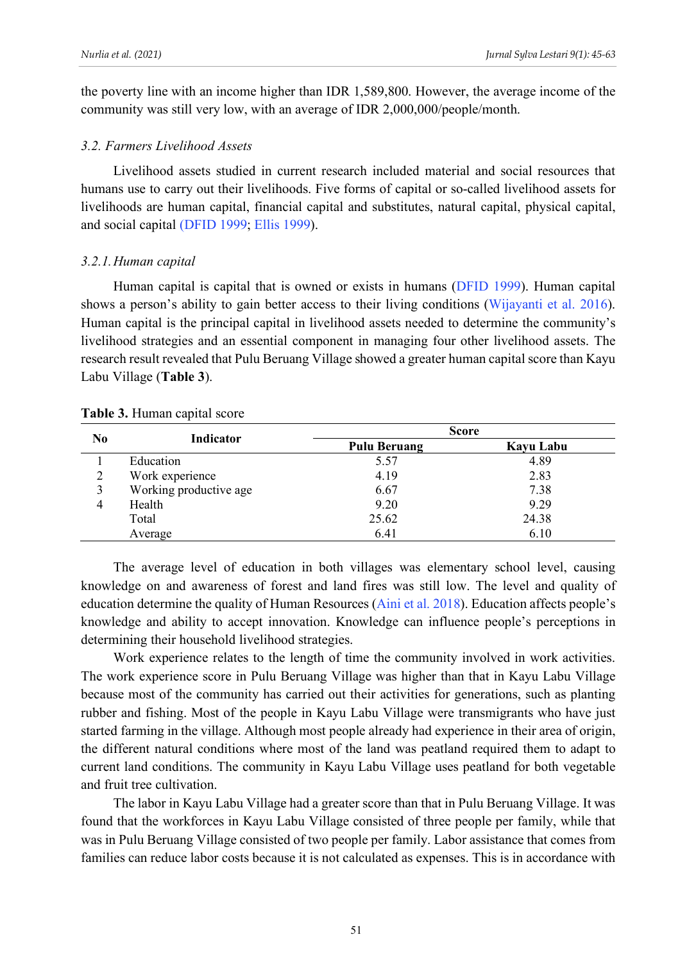the poverty line with an income higher than IDR 1,589,800. However, the average income of the community was still very low, with an average of IDR 2,000,000/people/month.

### *3.2. Farmers Livelihood Assets*

Livelihood assets studied in current research included material and social resources that humans use to carry out their livelihoods. Five forms of capital or so-called livelihood assets for livelihoods are human capital, financial capital and substitutes, natural capital, physical capital, and social capital (DFID 1999; Ellis 1999).

#### *3.2.1.Human capital*

Human capital is capital that is owned or exists in humans (DFID 1999). Human capital shows a person's ability to gain better access to their living conditions (Wijayanti et al. 2016). Human capital is the principal capital in livelihood assets needed to determine the community's livelihood strategies and an essential component in managing four other livelihood assets. The research result revealed that Pulu Beruang Village showed a greater human capital score than Kayu Labu Village (**Table 3**).

|                | Indicator              | <b>Score</b>        |           |
|----------------|------------------------|---------------------|-----------|
| N <sub>0</sub> |                        | <b>Pulu Beruang</b> | Kayu Labu |
|                | Education              | 5.57                | 4.89      |
| $\overline{2}$ | Work experience        | 4.19                | 2.83      |
| 3              | Working productive age | 6.67                | 7.38      |
| 4              | Health                 | 9.20                | 9.29      |
|                | Total                  | 25.62               | 24.38     |
|                | Average                | 6.41                | 6.10      |

**Table 3.** Human capital score

The average level of education in both villages was elementary school level, causing knowledge on and awareness of forest and land fires was still low. The level and quality of education determine the quality of Human Resources (Aini et al. 2018). Education affects people's knowledge and ability to accept innovation. Knowledge can influence people's perceptions in determining their household livelihood strategies.

Work experience relates to the length of time the community involved in work activities. The work experience score in Pulu Beruang Village was higher than that in Kayu Labu Village because most of the community has carried out their activities for generations, such as planting rubber and fishing. Most of the people in Kayu Labu Village were transmigrants who have just started farming in the village. Although most people already had experience in their area of origin, the different natural conditions where most of the land was peatland required them to adapt to current land conditions. The community in Kayu Labu Village uses peatland for both vegetable and fruit tree cultivation.

The labor in Kayu Labu Village had a greater score than that in Pulu Beruang Village. It was found that the workforces in Kayu Labu Village consisted of three people per family, while that was in Pulu Beruang Village consisted of two people per family. Labor assistance that comes from families can reduce labor costs because it is not calculated as expenses. This is in accordance with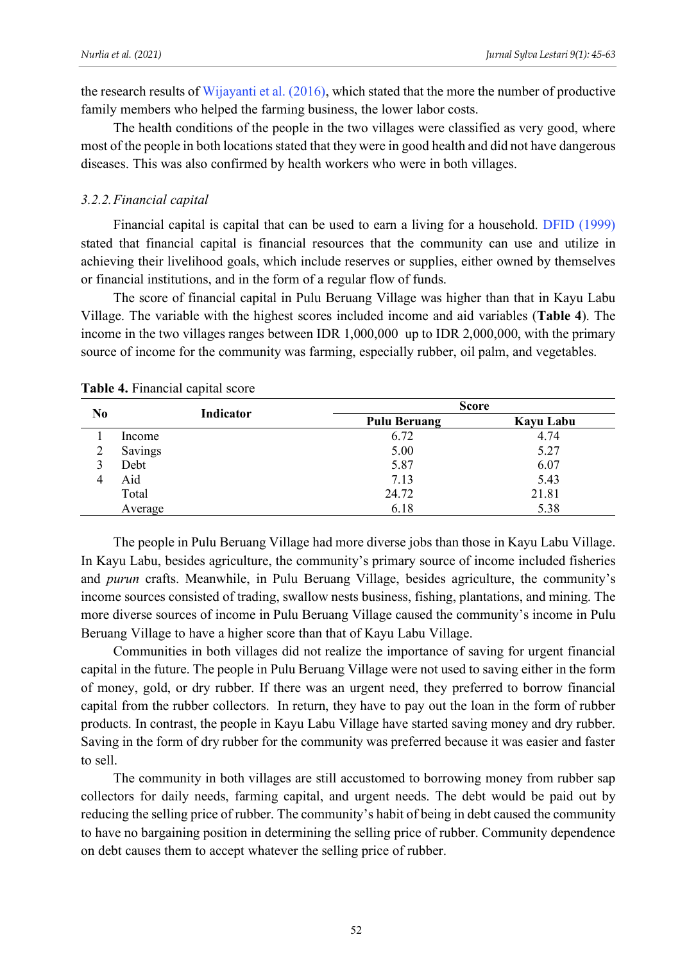the research results of Wijayanti et al. (2016), which stated that the more the number of productive family members who helped the farming business, the lower labor costs.

The health conditions of the people in the two villages were classified as very good, where most of the people in both locations stated that they were in good health and did not have dangerous diseases. This was also confirmed by health workers who were in both villages.

### *3.2.2.Financial capital*

Financial capital is capital that can be used to earn a living for a household. DFID (1999) stated that financial capital is financial resources that the community can use and utilize in achieving their livelihood goals, which include reserves or supplies, either owned by themselves or financial institutions, and in the form of a regular flow of funds.

The score of financial capital in Pulu Beruang Village was higher than that in Kayu Labu Village. The variable with the highest scores included income and aid variables (**Table 4**). The income in the two villages ranges between IDR 1,000,000 up to IDR 2,000,000, with the primary source of income for the community was farming, especially rubber, oil palm, and vegetables.

|                |           | <b>Score</b>        |                  |
|----------------|-----------|---------------------|------------------|
| N <sub>0</sub> | Indicator | <b>Pulu Beruang</b> | <b>Kayu Labu</b> |
|                | Income    | 6.72                | 4.74             |
|                | Savings   | 5.00                | 5.27             |
|                | Debt      | 5.87                | 6.07             |
| 4              | Aid       | 7.13                | 5.43             |
|                | Total     | 24.72               | 21.81            |
|                | Average   | 6.18                | 5.38             |

**Table 4.** Financial capital score

The people in Pulu Beruang Village had more diverse jobs than those in Kayu Labu Village. In Kayu Labu, besides agriculture, the community's primary source of income included fisheries and *purun* crafts. Meanwhile, in Pulu Beruang Village, besides agriculture, the community's income sources consisted of trading, swallow nests business, fishing, plantations, and mining. The more diverse sources of income in Pulu Beruang Village caused the community's income in Pulu Beruang Village to have a higher score than that of Kayu Labu Village.

Communities in both villages did not realize the importance of saving for urgent financial capital in the future. The people in Pulu Beruang Village were not used to saving either in the form of money, gold, or dry rubber. If there was an urgent need, they preferred to borrow financial capital from the rubber collectors. In return, they have to pay out the loan in the form of rubber products. In contrast, the people in Kayu Labu Village have started saving money and dry rubber. Saving in the form of dry rubber for the community was preferred because it was easier and faster to sell.

The community in both villages are still accustomed to borrowing money from rubber sap collectors for daily needs, farming capital, and urgent needs. The debt would be paid out by reducing the selling price of rubber. The community's habit of being in debt caused the community to have no bargaining position in determining the selling price of rubber. Community dependence on debt causes them to accept whatever the selling price of rubber.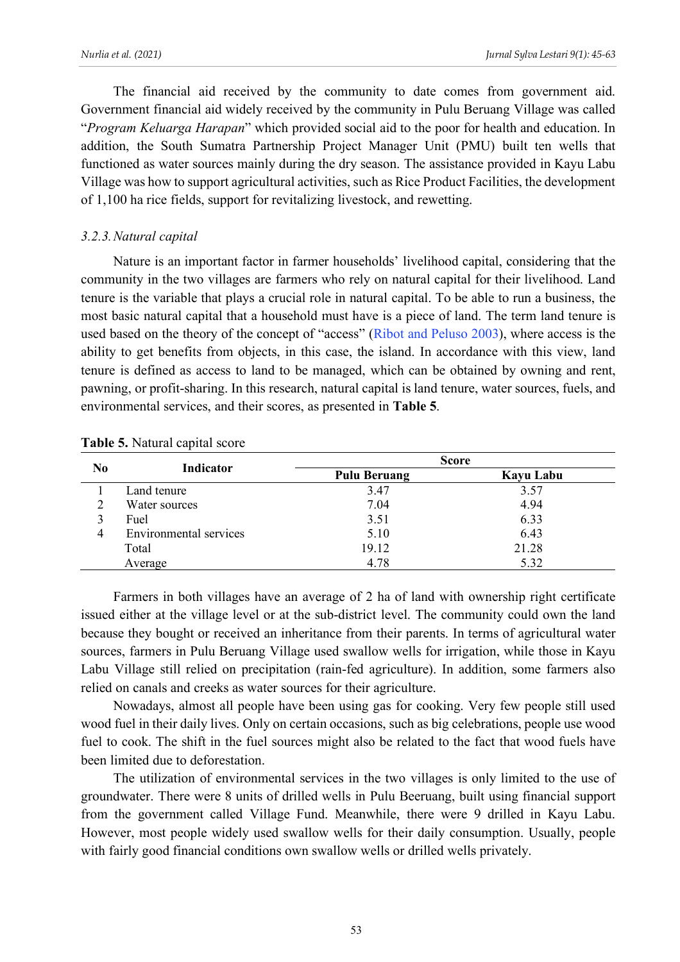The financial aid received by the community to date comes from government aid. Government financial aid widely received by the community in Pulu Beruang Village was called "*Program Keluarga Harapan*" which provided social aid to the poor for health and education. In addition, the South Sumatra Partnership Project Manager Unit (PMU) built ten wells that functioned as water sources mainly during the dry season. The assistance provided in Kayu Labu Village was how to support agricultural activities, such as Rice Product Facilities, the development of 1,100 ha rice fields, support for revitalizing livestock, and rewetting.

## *3.2.3.Natural capital*

Nature is an important factor in farmer households' livelihood capital, considering that the community in the two villages are farmers who rely on natural capital for their livelihood. Land tenure is the variable that plays a crucial role in natural capital. To be able to run a business, the most basic natural capital that a household must have is a piece of land. The term land tenure is used based on the theory of the concept of "access" (Ribot and Peluso 2003), where access is the ability to get benefits from objects, in this case, the island. In accordance with this view, land tenure is defined as access to land to be managed, which can be obtained by owning and rent, pawning, or profit-sharing. In this research, natural capital is land tenure, water sources, fuels, and environmental services, and their scores, as presented in **Table 5**.

| No | <b>Indicator</b><br><b>Pulu Beruang</b> |       | <b>Score</b>     |
|----|-----------------------------------------|-------|------------------|
|    |                                         |       | <b>Kayu Labu</b> |
|    | Land tenure                             | 3.47  | 3.57             |
|    | Water sources                           | 7.04  | 4.94             |
|    | Fuel                                    | 3.51  | 6.33             |
| 4  | Environmental services                  | 5.10  | 6.43             |
|    | Total                                   | 19.12 | 21.28            |
|    | Average                                 | 4.78  | 5.32             |

**Table 5.** Natural capital score

Farmers in both villages have an average of 2 ha of land with ownership right certificate issued either at the village level or at the sub-district level. The community could own the land because they bought or received an inheritance from their parents. In terms of agricultural water sources, farmers in Pulu Beruang Village used swallow wells for irrigation, while those in Kayu Labu Village still relied on precipitation (rain-fed agriculture). In addition, some farmers also relied on canals and creeks as water sources for their agriculture.

Nowadays, almost all people have been using gas for cooking. Very few people still used wood fuel in their daily lives. Only on certain occasions, such as big celebrations, people use wood fuel to cook. The shift in the fuel sources might also be related to the fact that wood fuels have been limited due to deforestation.

The utilization of environmental services in the two villages is only limited to the use of groundwater. There were 8 units of drilled wells in Pulu Beeruang, built using financial support from the government called Village Fund. Meanwhile, there were 9 drilled in Kayu Labu. However, most people widely used swallow wells for their daily consumption. Usually, people with fairly good financial conditions own swallow wells or drilled wells privately.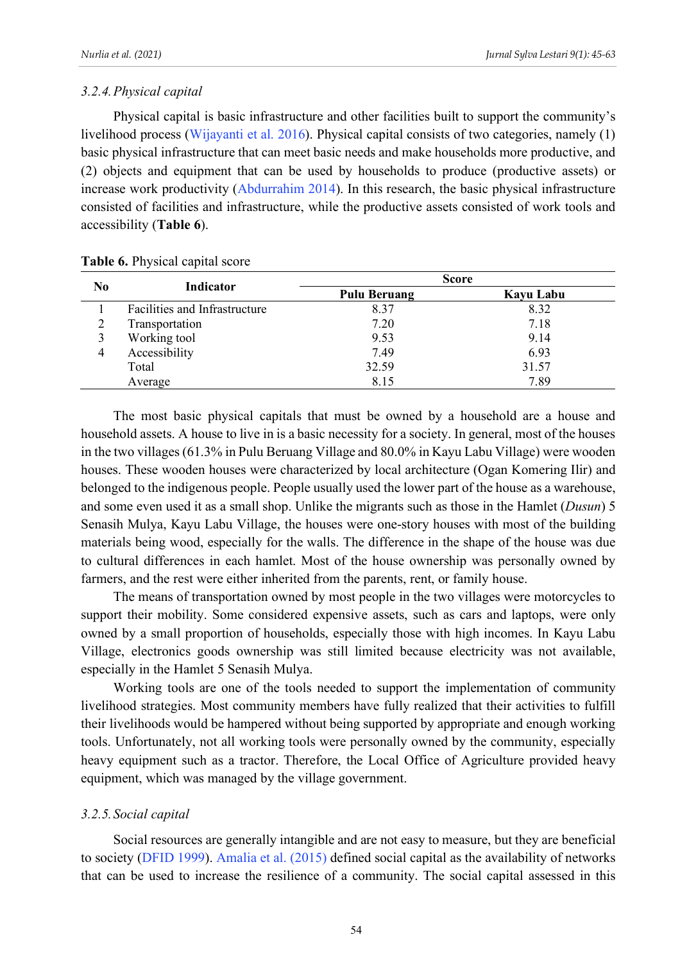## *3.2.4.Physical capital*

Physical capital is basic infrastructure and other facilities built to support the community's livelihood process (Wijayanti et al. 2016). Physical capital consists of two categories, namely (1) basic physical infrastructure that can meet basic needs and make households more productive, and (2) objects and equipment that can be used by households to produce (productive assets) or increase work productivity (Abdurrahim 2014). In this research, the basic physical infrastructure consisted of facilities and infrastructure, while the productive assets consisted of work tools and accessibility (**Table 6**).

|                |                               |                     | <b>Score</b> |
|----------------|-------------------------------|---------------------|--------------|
| N <sub>0</sub> | Indicator                     | <b>Pulu Beruang</b> | Kayu Labu    |
|                | Facilities and Infrastructure | 8.37                | 8.32         |
|                | Transportation                | 7.20                | 7.18         |
|                | Working tool                  | 9.53                | 9.14         |
| 4              | Accessibility                 | 7.49                | 6.93         |
|                | Total                         | 32.59               | 31.57        |
|                | Average                       | 8.15                | 7.89         |

**Table 6.** Physical capital score

The most basic physical capitals that must be owned by a household are a house and household assets. A house to live in is a basic necessity for a society. In general, most of the houses in the two villages(61.3% in Pulu Beruang Village and 80.0% in Kayu Labu Village) were wooden houses. These wooden houses were characterized by local architecture (Ogan Komering Ilir) and belonged to the indigenous people. People usually used the lower part of the house as a warehouse, and some even used it as a small shop. Unlike the migrants such as those in the Hamlet (*Dusun*) 5 Senasih Mulya, Kayu Labu Village, the houses were one-story houses with most of the building materials being wood, especially for the walls. The difference in the shape of the house was due to cultural differences in each hamlet. Most of the house ownership was personally owned by farmers, and the rest were either inherited from the parents, rent, or family house.

The means of transportation owned by most people in the two villages were motorcycles to support their mobility. Some considered expensive assets, such as cars and laptops, were only owned by a small proportion of households, especially those with high incomes. In Kayu Labu Village, electronics goods ownership was still limited because electricity was not available, especially in the Hamlet 5 Senasih Mulya.

Working tools are one of the tools needed to support the implementation of community livelihood strategies. Most community members have fully realized that their activities to fulfill their livelihoods would be hampered without being supported by appropriate and enough working tools. Unfortunately, not all working tools were personally owned by the community, especially heavy equipment such as a tractor. Therefore, the Local Office of Agriculture provided heavy equipment, which was managed by the village government.

## *3.2.5.Social capital*

Social resources are generally intangible and are not easy to measure, but they are beneficial to society (DFID 1999). Amalia et al. (2015) defined social capital as the availability of networks that can be used to increase the resilience of a community. The social capital assessed in this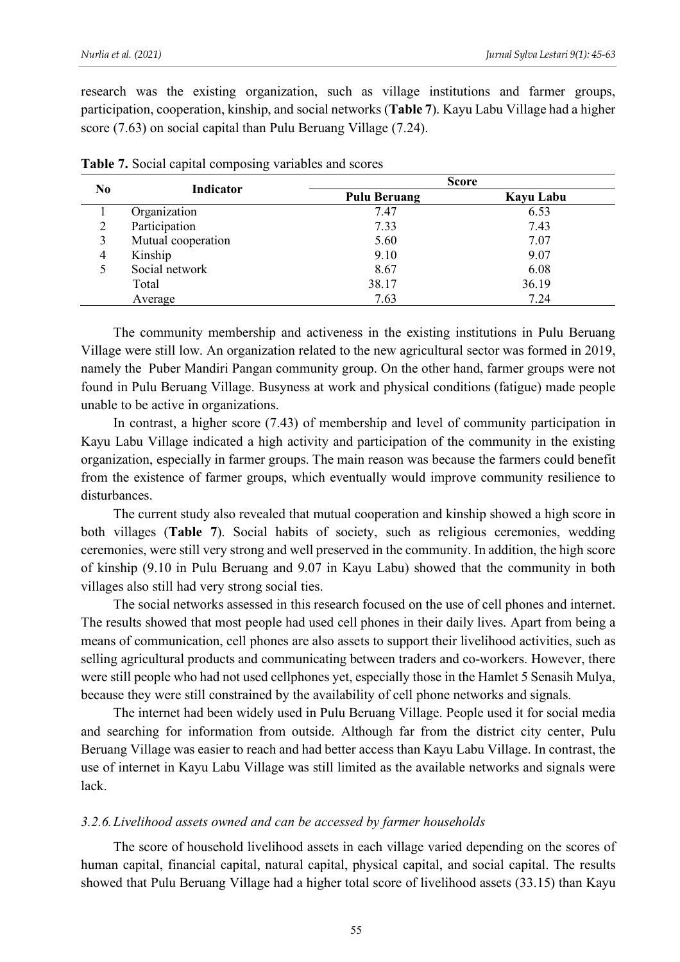research was the existing organization, such as village institutions and farmer groups, participation, cooperation, kinship, and social networks (**Table 7**). Kayu Labu Village had a higher score (7.63) on social capital than Pulu Beruang Village (7.24).

|                |                    |                     | <b>Score</b> |
|----------------|--------------------|---------------------|--------------|
| N <sub>0</sub> | <b>Indicator</b>   | <b>Pulu Beruang</b> | Kayu Labu    |
|                | Organization       | 7.47                | 6.53         |
|                | Participation      | 7.33                | 7.43         |
|                | Mutual cooperation | 5.60                | 7.07         |
| 4              | Kinship            | 9.10                | 9.07         |
|                | Social network     | 8.67                | 6.08         |
|                | Total              | 38.17               | 36.19        |
|                | Average            | 7.63                | 7.24         |

**Table 7.** Social capital composing variables and scores

The community membership and activeness in the existing institutions in Pulu Beruang Village were still low. An organization related to the new agricultural sector was formed in 2019, namely the Puber Mandiri Pangan community group. On the other hand, farmer groups were not found in Pulu Beruang Village. Busyness at work and physical conditions (fatigue) made people unable to be active in organizations.

In contrast, a higher score (7.43) of membership and level of community participation in Kayu Labu Village indicated a high activity and participation of the community in the existing organization, especially in farmer groups. The main reason was because the farmers could benefit from the existence of farmer groups, which eventually would improve community resilience to disturbances.

The current study also revealed that mutual cooperation and kinship showed a high score in both villages (**Table 7**). Social habits of society, such as religious ceremonies, wedding ceremonies, were still very strong and well preserved in the community. In addition, the high score of kinship (9.10 in Pulu Beruang and 9.07 in Kayu Labu) showed that the community in both villages also still had very strong social ties.

The social networks assessed in this research focused on the use of cell phones and internet. The results showed that most people had used cell phones in their daily lives. Apart from being a means of communication, cell phones are also assets to support their livelihood activities, such as selling agricultural products and communicating between traders and co-workers. However, there were still people who had not used cellphones yet, especially those in the Hamlet 5 Senasih Mulya, because they were still constrained by the availability of cell phone networks and signals.

The internet had been widely used in Pulu Beruang Village. People used it for social media and searching for information from outside. Although far from the district city center, Pulu Beruang Village was easier to reach and had better access than Kayu Labu Village. In contrast, the use of internet in Kayu Labu Village was still limited as the available networks and signals were lack.

## *3.2.6.Livelihood assets owned and can be accessed by farmer households*

The score of household livelihood assets in each village varied depending on the scores of human capital, financial capital, natural capital, physical capital, and social capital. The results showed that Pulu Beruang Village had a higher total score of livelihood assets (33.15) than Kayu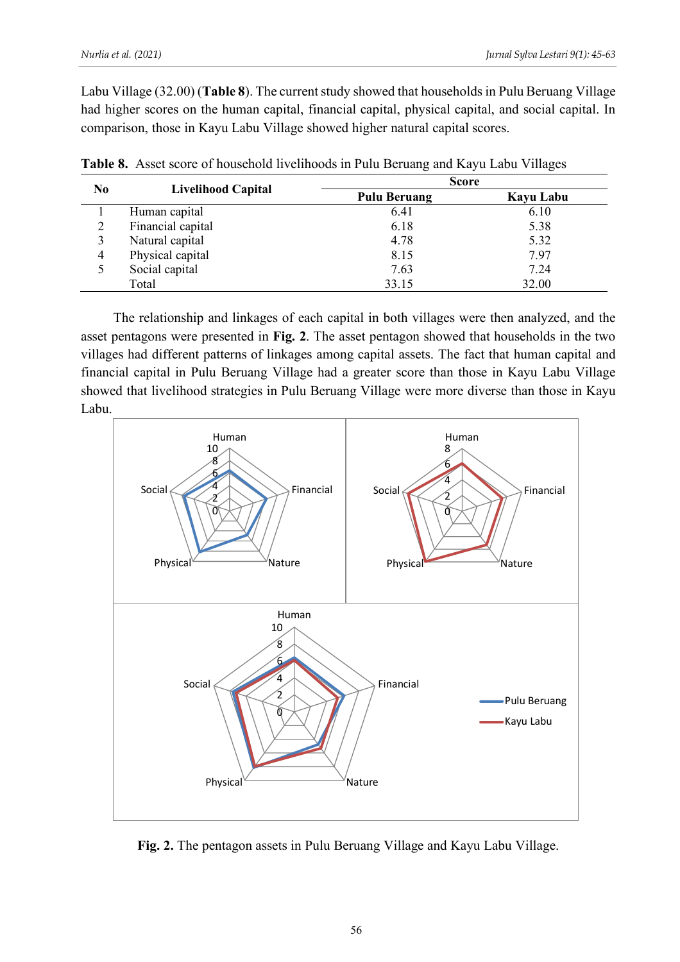Labu Village (32.00) (**Table 8**). The current study showed that households in Pulu Beruang Village had higher scores on the human capital, financial capital, physical capital, and social capital. In comparison, those in Kayu Labu Village showed higher natural capital scores.

|    |                           | <b>Score</b>        |           |
|----|---------------------------|---------------------|-----------|
| No | <b>Livelihood Capital</b> | <b>Pulu Beruang</b> | Kayu Labu |
|    | Human capital             | 6.41                | 6.10      |
|    | Financial capital         | 6.18                | 5.38      |
|    | Natural capital           | 4.78                | 5.32      |
| 4  | Physical capital          | 8.15                | 7.97      |
|    | Social capital            | 7.63                | 7.24      |
|    | Total                     | 33.15               | 32.00     |

**Table 8.** Asset score of household livelihoods in Pulu Beruang and Kayu Labu Villages

The relationship and linkages of each capital in both villages were then analyzed, and the asset pentagons were presented in **Fig. 2**. The asset pentagon showed that households in the two villages had different patterns of linkages among capital assets. The fact that human capital and financial capital in Pulu Beruang Village had a greater score than those in Kayu Labu Village showed that livelihood strategies in Pulu Beruang Village were more diverse than those in Kayu Labu.



**Fig. 2.** The pentagon assets in Pulu Beruang Village and Kayu Labu Village.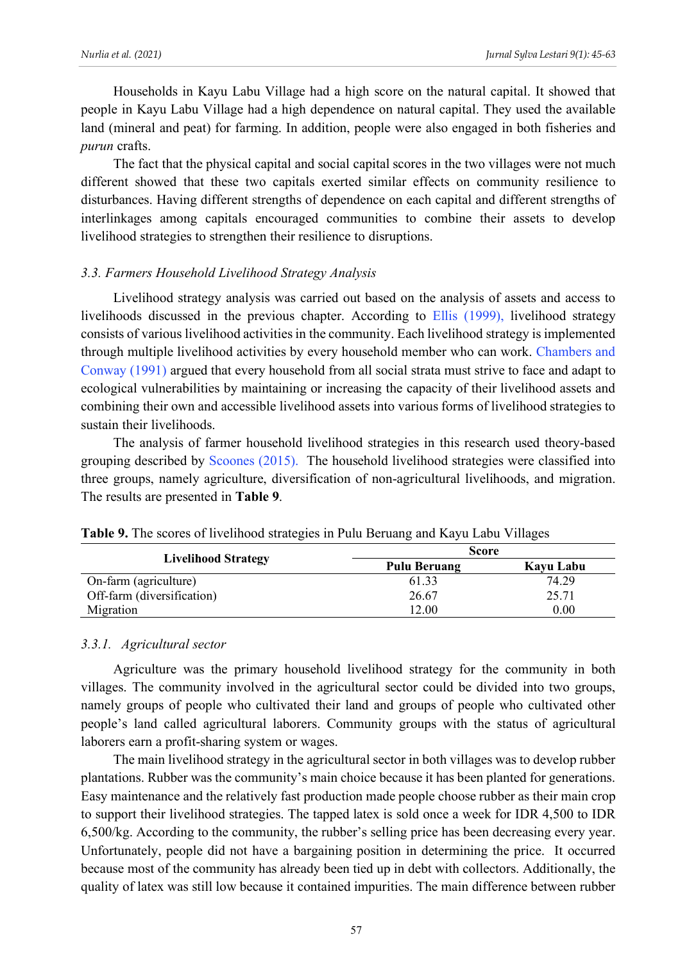Households in Kayu Labu Village had a high score on the natural capital. It showed that people in Kayu Labu Village had a high dependence on natural capital. They used the available land (mineral and peat) for farming. In addition, people were also engaged in both fisheries and *purun* crafts.

The fact that the physical capital and social capital scores in the two villages were not much different showed that these two capitals exerted similar effects on community resilience to disturbances. Having different strengths of dependence on each capital and different strengths of interlinkages among capitals encouraged communities to combine their assets to develop livelihood strategies to strengthen their resilience to disruptions.

## *3.3. Farmers Household Livelihood Strategy Analysis*

Livelihood strategy analysis was carried out based on the analysis of assets and access to livelihoods discussed in the previous chapter. According to Ellis (1999), livelihood strategy consists of various livelihood activities in the community. Each livelihood strategy is implemented through multiple livelihood activities by every household member who can work. Chambers and Conway (1991) argued that every household from all social strata must strive to face and adapt to ecological vulnerabilities by maintaining or increasing the capacity of their livelihood assets and combining their own and accessible livelihood assets into various forms of livelihood strategies to sustain their livelihoods.

The analysis of farmer household livelihood strategies in this research used theory-based grouping described by Scoones (2015). The household livelihood strategies were classified into three groups, namely agriculture, diversification of non-agricultural livelihoods, and migration. The results are presented in **Table 9**.

|                            | <b>Score</b>        |           |
|----------------------------|---------------------|-----------|
| <b>Livelihood Strategy</b> | <b>Pulu Beruang</b> | Kavu Labu |
| On-farm (agriculture)      | 61.33               | 74.29     |
| Off-farm (diversification) | 26.67               | 25.71     |
| Migration                  | 12.00               | 0.00      |

**Table 9.** The scores of livelihood strategies in Pulu Beruang and Kayu Labu Villages

## *3.3.1. Agricultural sector*

Agriculture was the primary household livelihood strategy for the community in both villages. The community involved in the agricultural sector could be divided into two groups, namely groups of people who cultivated their land and groups of people who cultivated other people's land called agricultural laborers. Community groups with the status of agricultural laborers earn a profit-sharing system or wages.

The main livelihood strategy in the agricultural sector in both villages was to develop rubber plantations. Rubber was the community's main choice because it has been planted for generations. Easy maintenance and the relatively fast production made people choose rubber as their main crop to support their livelihood strategies. The tapped latex is sold once a week for IDR 4,500 to IDR 6,500/kg. According to the community, the rubber's selling price has been decreasing every year. Unfortunately, people did not have a bargaining position in determining the price. It occurred because most of the community has already been tied up in debt with collectors. Additionally, the quality of latex was still low because it contained impurities. The main difference between rubber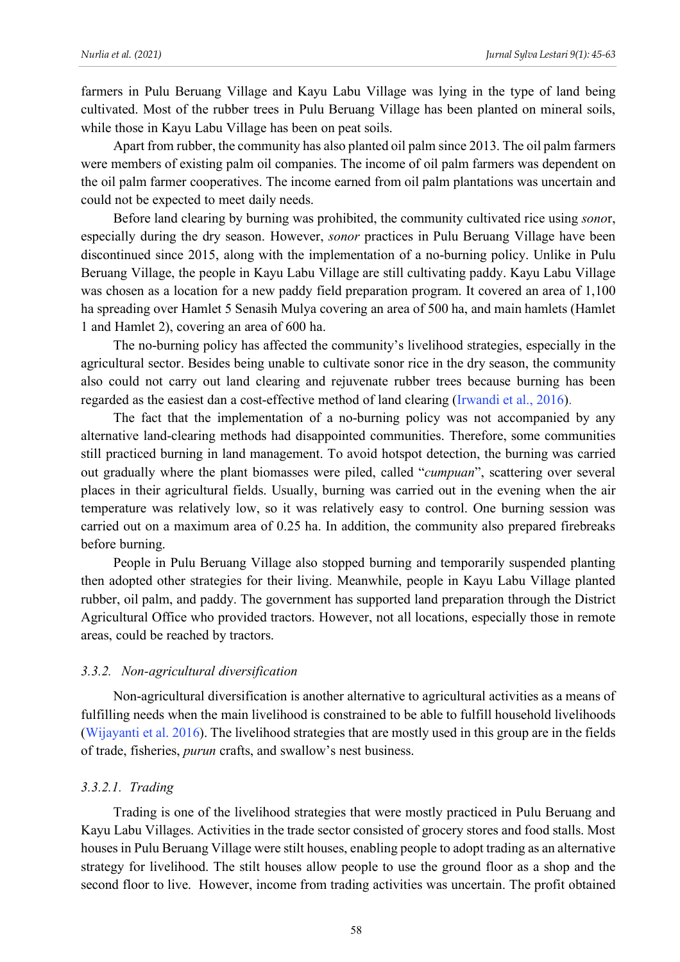farmers in Pulu Beruang Village and Kayu Labu Village was lying in the type of land being cultivated. Most of the rubber trees in Pulu Beruang Village has been planted on mineral soils, while those in Kayu Labu Village has been on peat soils.

Apart from rubber, the community has also planted oil palm since 2013. The oil palm farmers were members of existing palm oil companies. The income of oil palm farmers was dependent on the oil palm farmer cooperatives. The income earned from oil palm plantations was uncertain and could not be expected to meet daily needs.

Before land clearing by burning was prohibited, the community cultivated rice using *sono*r, especially during the dry season. However, *sonor* practices in Pulu Beruang Village have been discontinued since 2015, along with the implementation of a no-burning policy. Unlike in Pulu Beruang Village, the people in Kayu Labu Village are still cultivating paddy. Kayu Labu Village was chosen as a location for a new paddy field preparation program. It covered an area of 1,100 ha spreading over Hamlet 5 Senasih Mulya covering an area of 500 ha, and main hamlets (Hamlet 1 and Hamlet 2), covering an area of 600 ha.

The no-burning policy has affected the community's livelihood strategies, especially in the agricultural sector. Besides being unable to cultivate sonor rice in the dry season, the community also could not carry out land clearing and rejuvenate rubber trees because burning has been regarded as the easiest dan a cost-effective method of land clearing (Irwandi et al., 2016).

The fact that the implementation of a no-burning policy was not accompanied by any alternative land-clearing methods had disappointed communities. Therefore, some communities still practiced burning in land management. To avoid hotspot detection, the burning was carried out gradually where the plant biomasses were piled, called "*cumpuan*", scattering over several places in their agricultural fields. Usually, burning was carried out in the evening when the air temperature was relatively low, so it was relatively easy to control. One burning session was carried out on a maximum area of 0.25 ha. In addition, the community also prepared firebreaks before burning.

People in Pulu Beruang Village also stopped burning and temporarily suspended planting then adopted other strategies for their living. Meanwhile, people in Kayu Labu Village planted rubber, oil palm, and paddy. The government has supported land preparation through the District Agricultural Office who provided tractors. However, not all locations, especially those in remote areas, could be reached by tractors.

#### *3.3.2. Non-agricultural diversification*

Non-agricultural diversification is another alternative to agricultural activities as a means of fulfilling needs when the main livelihood is constrained to be able to fulfill household livelihoods (Wijayanti et al. 2016). The livelihood strategies that are mostly used in this group are in the fields of trade, fisheries, *purun* crafts, and swallow's nest business.

### *3.3.2.1. Trading*

Trading is one of the livelihood strategies that were mostly practiced in Pulu Beruang and Kayu Labu Villages. Activities in the trade sector consisted of grocery stores and food stalls. Most houses in Pulu Beruang Village were stilt houses, enabling people to adopt trading as an alternative strategy for livelihood. The stilt houses allow people to use the ground floor as a shop and the second floor to live. However, income from trading activities was uncertain. The profit obtained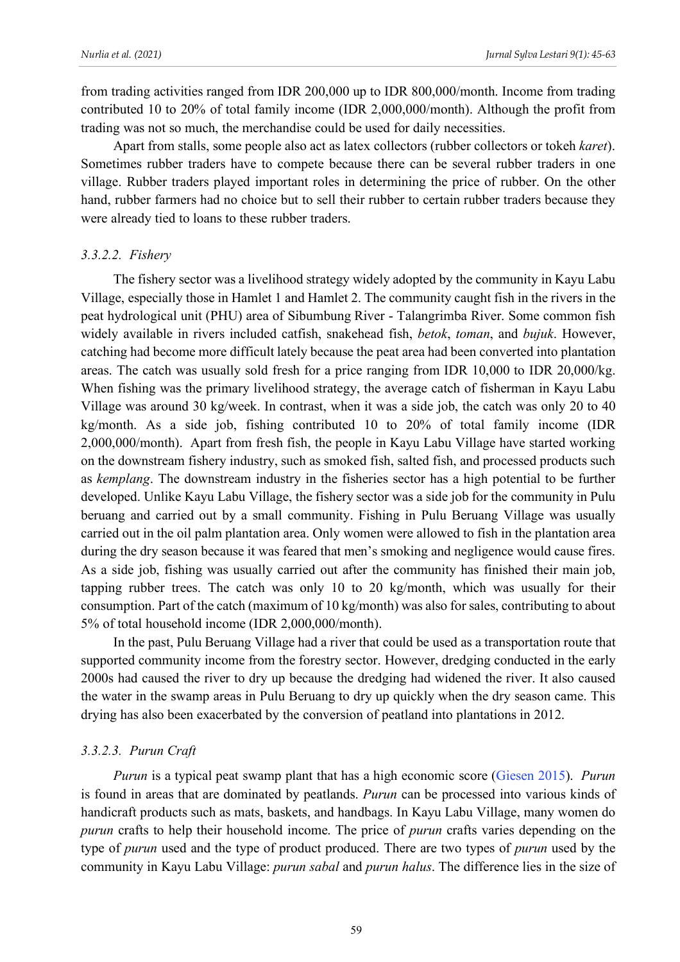from trading activities ranged from IDR 200,000 up to IDR 800,000/month. Income from trading contributed 10 to 20% of total family income (IDR 2,000,000/month). Although the profit from trading was not so much, the merchandise could be used for daily necessities.

Apart from stalls, some people also act as latex collectors (rubber collectors or tokeh *karet*). Sometimes rubber traders have to compete because there can be several rubber traders in one village. Rubber traders played important roles in determining the price of rubber. On the other hand, rubber farmers had no choice but to sell their rubber to certain rubber traders because they were already tied to loans to these rubber traders.

## *3.3.2.2. Fishery*

The fishery sector was a livelihood strategy widely adopted by the community in Kayu Labu Village, especially those in Hamlet 1 and Hamlet 2. The community caught fish in the rivers in the peat hydrological unit (PHU) area of Sibumbung River - Talangrimba River. Some common fish widely available in rivers included catfish, snakehead fish, *betok*, *toman*, and *bujuk*. However, catching had become more difficult lately because the peat area had been converted into plantation areas. The catch was usually sold fresh for a price ranging from IDR 10,000 to IDR 20,000/kg. When fishing was the primary livelihood strategy, the average catch of fisherman in Kayu Labu Village was around 30 kg/week. In contrast, when it was a side job, the catch was only 20 to 40 kg/month. As a side job, fishing contributed 10 to 20% of total family income (IDR 2,000,000/month). Apart from fresh fish, the people in Kayu Labu Village have started working on the downstream fishery industry, such as smoked fish, salted fish, and processed products such as *kemplang*. The downstream industry in the fisheries sector has a high potential to be further developed. Unlike Kayu Labu Village, the fishery sector was a side job for the community in Pulu beruang and carried out by a small community. Fishing in Pulu Beruang Village was usually carried out in the oil palm plantation area. Only women were allowed to fish in the plantation area during the dry season because it was feared that men's smoking and negligence would cause fires. As a side job, fishing was usually carried out after the community has finished their main job, tapping rubber trees. The catch was only 10 to 20 kg/month, which was usually for their consumption. Part of the catch (maximum of 10 kg/month) was also for sales, contributing to about 5% of total household income (IDR 2,000,000/month).

In the past, Pulu Beruang Village had a river that could be used as a transportation route that supported community income from the forestry sector. However, dredging conducted in the early 2000s had caused the river to dry up because the dredging had widened the river. It also caused the water in the swamp areas in Pulu Beruang to dry up quickly when the dry season came. This drying has also been exacerbated by the conversion of peatland into plantations in 2012.

## *3.3.2.3. Purun Craft*

*Purun* is a typical peat swamp plant that has a high economic score (Giesen 2015). *Purun* is found in areas that are dominated by peatlands. *Purun* can be processed into various kinds of handicraft products such as mats, baskets, and handbags. In Kayu Labu Village, many women do *purun* crafts to help their household income. The price of *purun* crafts varies depending on the type of *purun* used and the type of product produced. There are two types of *purun* used by the community in Kayu Labu Village: *purun sabal* and *purun halus*. The difference lies in the size of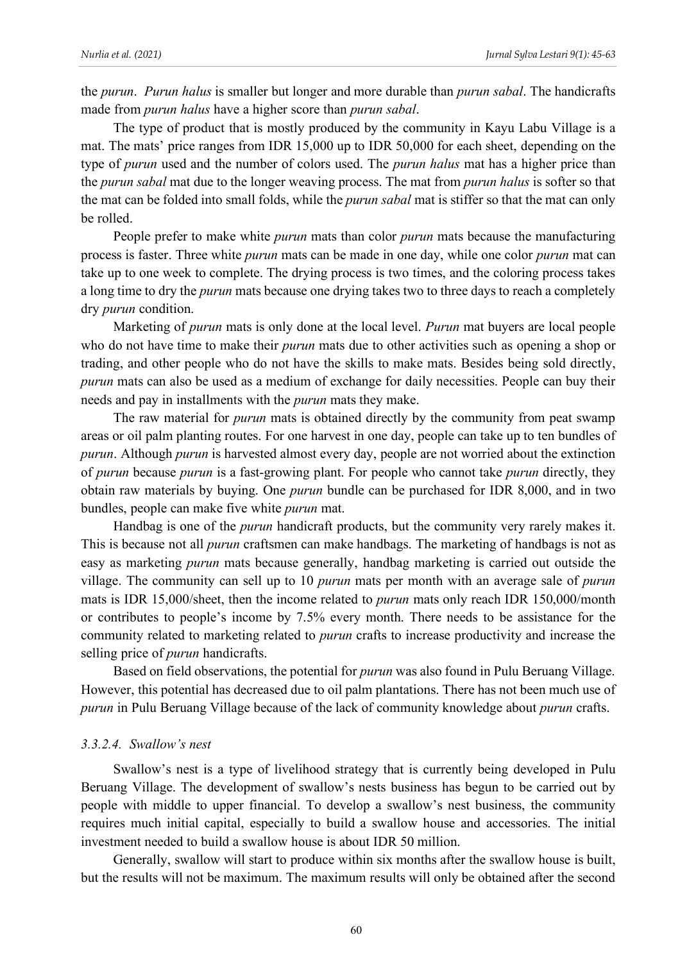the *purun*. *Purun halus* is smaller but longer and more durable than *purun sabal*. The handicrafts made from *purun halus* have a higher score than *purun sabal*.

The type of product that is mostly produced by the community in Kayu Labu Village is a mat. The mats' price ranges from IDR 15,000 up to IDR 50,000 for each sheet, depending on the type of *purun* used and the number of colors used. The *purun halus* mat has a higher price than the *purun sabal* mat due to the longer weaving process. The mat from *purun halus* is softer so that the mat can be folded into small folds, while the *purun sabal* mat is stiffer so that the mat can only be rolled.

People prefer to make white *purun* mats than color *purun* mats because the manufacturing process is faster. Three white *purun* mats can be made in one day, while one color *purun* mat can take up to one week to complete. The drying process is two times, and the coloring process takes a long time to dry the *purun* mats because one drying takes two to three days to reach a completely dry *purun* condition.

Marketing of *purun* mats is only done at the local level. *Purun* mat buyers are local people who do not have time to make their *purun* mats due to other activities such as opening a shop or trading, and other people who do not have the skills to make mats. Besides being sold directly, *purun* mats can also be used as a medium of exchange for daily necessities. People can buy their needs and pay in installments with the *purun* mats they make.

The raw material for *purun* mats is obtained directly by the community from peat swamp areas or oil palm planting routes. For one harvest in one day, people can take up to ten bundles of *purun*. Although *purun* is harvested almost every day, people are not worried about the extinction of *purun* because *purun* is a fast-growing plant. For people who cannot take *purun* directly, they obtain raw materials by buying. One *purun* bundle can be purchased for IDR 8,000, and in two bundles, people can make five white *purun* mat.

Handbag is one of the *purun* handicraft products, but the community very rarely makes it. This is because not all *purun* craftsmen can make handbags. The marketing of handbags is not as easy as marketing *purun* mats because generally, handbag marketing is carried out outside the village. The community can sell up to 10 *purun* mats per month with an average sale of *purun* mats is IDR 15,000/sheet, then the income related to *purun* mats only reach IDR 150,000/month or contributes to people's income by 7.5% every month. There needs to be assistance for the community related to marketing related to *purun* crafts to increase productivity and increase the selling price of *purun* handicrafts.

Based on field observations, the potential for *purun* was also found in Pulu Beruang Village. However, this potential has decreased due to oil palm plantations. There has not been much use of *purun* in Pulu Beruang Village because of the lack of community knowledge about *purun* crafts.

#### *3.3.2.4. Swallow's nest*

Swallow's nest is a type of livelihood strategy that is currently being developed in Pulu Beruang Village. The development of swallow's nests business has begun to be carried out by people with middle to upper financial. To develop a swallow's nest business, the community requires much initial capital, especially to build a swallow house and accessories. The initial investment needed to build a swallow house is about IDR 50 million.

Generally, swallow will start to produce within six months after the swallow house is built, but the results will not be maximum. The maximum results will only be obtained after the second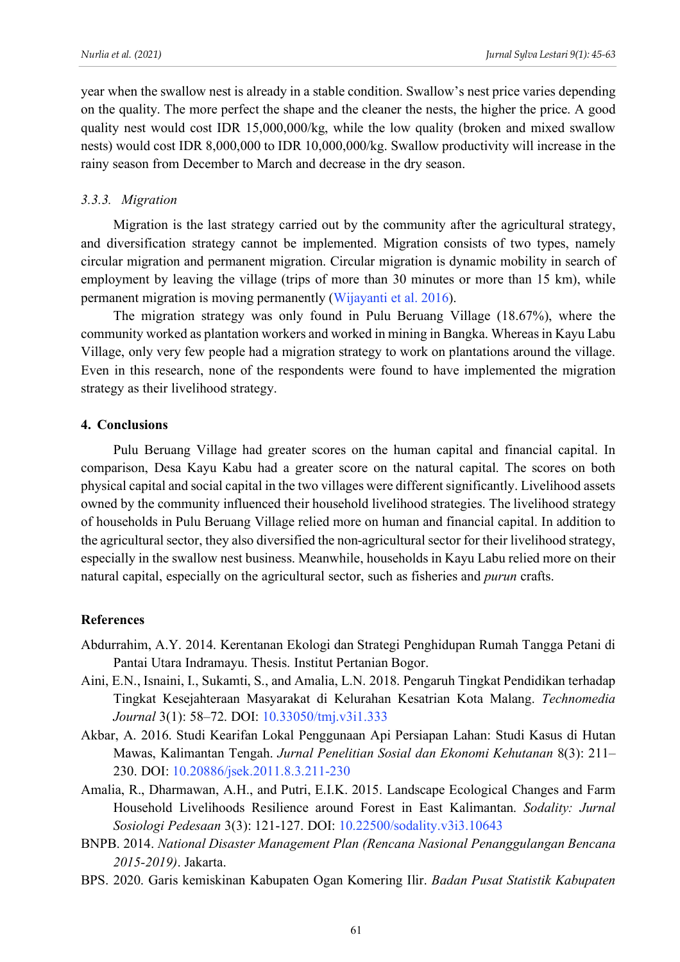year when the swallow nest is already in a stable condition. Swallow's nest price varies depending on the quality. The more perfect the shape and the cleaner the nests, the higher the price. A good quality nest would cost IDR 15,000,000/kg, while the low quality (broken and mixed swallow nests) would cost IDR 8,000,000 to IDR 10,000,000/kg. Swallow productivity will increase in the rainy season from December to March and decrease in the dry season.

## *3.3.3. Migration*

Migration is the last strategy carried out by the community after the agricultural strategy, and diversification strategy cannot be implemented. Migration consists of two types, namely circular migration and permanent migration. Circular migration is dynamic mobility in search of employment by leaving the village (trips of more than 30 minutes or more than 15 km), while permanent migration is moving permanently (Wijayanti et al. 2016).

The migration strategy was only found in Pulu Beruang Village (18.67%), where the community worked as plantation workers and worked in mining in Bangka. Whereas in Kayu Labu Village, only very few people had a migration strategy to work on plantations around the village. Even in this research, none of the respondents were found to have implemented the migration strategy as their livelihood strategy.

## **4. Conclusions**

Pulu Beruang Village had greater scores on the human capital and financial capital. In comparison, Desa Kayu Kabu had a greater score on the natural capital. The scores on both physical capital and social capital in the two villages were different significantly. Livelihood assets owned by the community influenced their household livelihood strategies. The livelihood strategy of households in Pulu Beruang Village relied more on human and financial capital. In addition to the agricultural sector, they also diversified the non-agricultural sector for their livelihood strategy, especially in the swallow nest business. Meanwhile, households in Kayu Labu relied more on their natural capital, especially on the agricultural sector, such as fisheries and *purun* crafts.

## **References**

- Abdurrahim, A.Y. 2014. Kerentanan Ekologi dan Strategi Penghidupan Rumah Tangga Petani di Pantai Utara Indramayu. Thesis. Institut Pertanian Bogor.
- Aini, E.N., Isnaini, I., Sukamti, S., and Amalia, L.N. 2018. Pengaruh Tingkat Pendidikan terhadap Tingkat Kesejahteraan Masyarakat di Kelurahan Kesatrian Kota Malang. *Technomedia Journal* 3(1): 58–72. DOI: 10.33050/tmj.v3i1.333
- Akbar, A. 2016. Studi Kearifan Lokal Penggunaan Api Persiapan Lahan: Studi Kasus di Hutan Mawas, Kalimantan Tengah. *Jurnal Penelitian Sosial dan Ekonomi Kehutanan* 8(3): 211– 230. DOI: 10.20886/jsek.2011.8.3.211-230
- Amalia, R., Dharmawan, A.H., and Putri, E.I.K. 2015. Landscape Ecological Changes and Farm Household Livelihoods Resilience around Forest in East Kalimantan. *Sodality: Jurnal Sosiologi Pedesaan* 3(3): 121-127. DOI: 10.22500/sodality.v3i3.10643
- BNPB. 2014. *National Disaster Management Plan (Rencana Nasional Penanggulangan Bencana 2015-2019)*. Jakarta.
- BPS. 2020. Garis kemiskinan Kabupaten Ogan Komering Ilir. *Badan Pusat Statistik Kabupaten*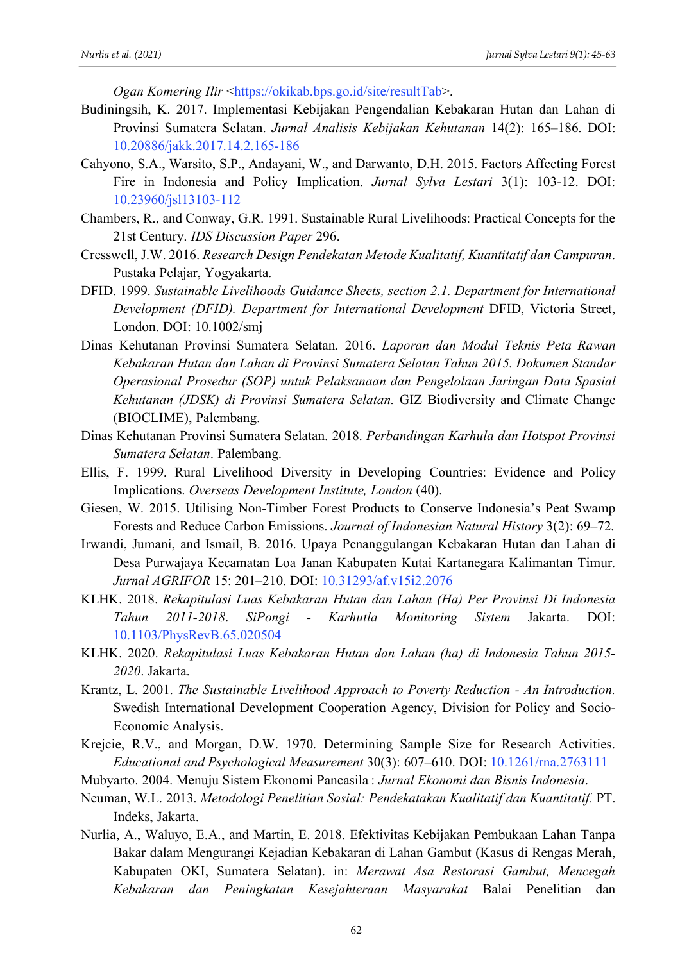*Ogan Komering Ilir* <https://okikab.bps.go.id/site/resultTab>.

- Budiningsih, K. 2017. Implementasi Kebijakan Pengendalian Kebakaran Hutan dan Lahan di Provinsi Sumatera Selatan. *Jurnal Analisis Kebijakan Kehutanan* 14(2): 165–186. DOI: 10.20886/jakk.2017.14.2.165-186
- Cahyono, S.A., Warsito, S.P., Andayani, W., and Darwanto, D.H. 2015. Factors Affecting Forest Fire in Indonesia and Policy Implication. *Jurnal Sylva Lestari* 3(1): 103-12. DOI: 10.23960/jsl13103-112
- Chambers, R., and Conway, G.R. 1991. Sustainable Rural Livelihoods: Practical Concepts for the 21st Century. *IDS Discussion Paper* 296.
- Cresswell, J.W. 2016. *Research Design Pendekatan Metode Kualitatif, Kuantitatif dan Campuran*. Pustaka Pelajar, Yogyakarta.
- DFID. 1999. *Sustainable Livelihoods Guidance Sheets, section 2.1. Department for International Development (DFID). Department for International Development* DFID, Victoria Street, London. DOI: 10.1002/smj
- Dinas Kehutanan Provinsi Sumatera Selatan. 2016. *Laporan dan Modul Teknis Peta Rawan Kebakaran Hutan dan Lahan di Provinsi Sumatera Selatan Tahun 2015. Dokumen Standar Operasional Prosedur (SOP) untuk Pelaksanaan dan Pengelolaan Jaringan Data Spasial Kehutanan (JDSK) di Provinsi Sumatera Selatan.* GIZ Biodiversity and Climate Change (BIOCLIME), Palembang.
- Dinas Kehutanan Provinsi Sumatera Selatan. 2018. *Perbandingan Karhula dan Hotspot Provinsi Sumatera Selatan*. Palembang.
- Ellis, F. 1999. Rural Livelihood Diversity in Developing Countries: Evidence and Policy Implications. *Overseas Development Institute, London* (40).
- Giesen, W. 2015. Utilising Non-Timber Forest Products to Conserve Indonesia's Peat Swamp Forests and Reduce Carbon Emissions. *Journal of Indonesian Natural History* 3(2): 69–72.
- Irwandi, Jumani, and Ismail, B. 2016. Upaya Penanggulangan Kebakaran Hutan dan Lahan di Desa Purwajaya Kecamatan Loa Janan Kabupaten Kutai Kartanegara Kalimantan Timur. *Jurnal AGRIFOR* 15: 201–210. DOI: 10.31293/af.v15i2.2076
- KLHK. 2018. *Rekapitulasi Luas Kebakaran Hutan dan Lahan (Ha) Per Provinsi Di Indonesia Tahun 2011-2018*. *SiPongi - Karhutla Monitoring Sistem* Jakarta. DOI: 10.1103/PhysRevB.65.020504
- KLHK. 2020. *Rekapitulasi Luas Kebakaran Hutan dan Lahan (ha) di Indonesia Tahun 2015- 2020*. Jakarta.
- Krantz, L. 2001. *The Sustainable Livelihood Approach to Poverty Reduction - An Introduction.* Swedish International Development Cooperation Agency, Division for Policy and Socio-Economic Analysis.
- Krejcie, R.V., and Morgan, D.W. 1970. Determining Sample Size for Research Activities. *Educational and Psychological Measurement* 30(3): 607–610. DOI: 10.1261/rna.2763111
- Mubyarto. 2004. Menuju Sistem Ekonomi Pancasila : *Jurnal Ekonomi dan Bisnis Indonesia*.
- Neuman, W.L. 2013. *Metodologi Penelitian Sosial: Pendekatakan Kualitatif dan Kuantitatif.* PT. Indeks, Jakarta.
- Nurlia, A., Waluyo, E.A., and Martin, E. 2018. Efektivitas Kebijakan Pembukaan Lahan Tanpa Bakar dalam Mengurangi Kejadian Kebakaran di Lahan Gambut (Kasus di Rengas Merah, Kabupaten OKI, Sumatera Selatan). in: *Merawat Asa Restorasi Gambut, Mencegah Kebakaran dan Peningkatan Kesejahteraan Masyarakat* Balai Penelitian dan